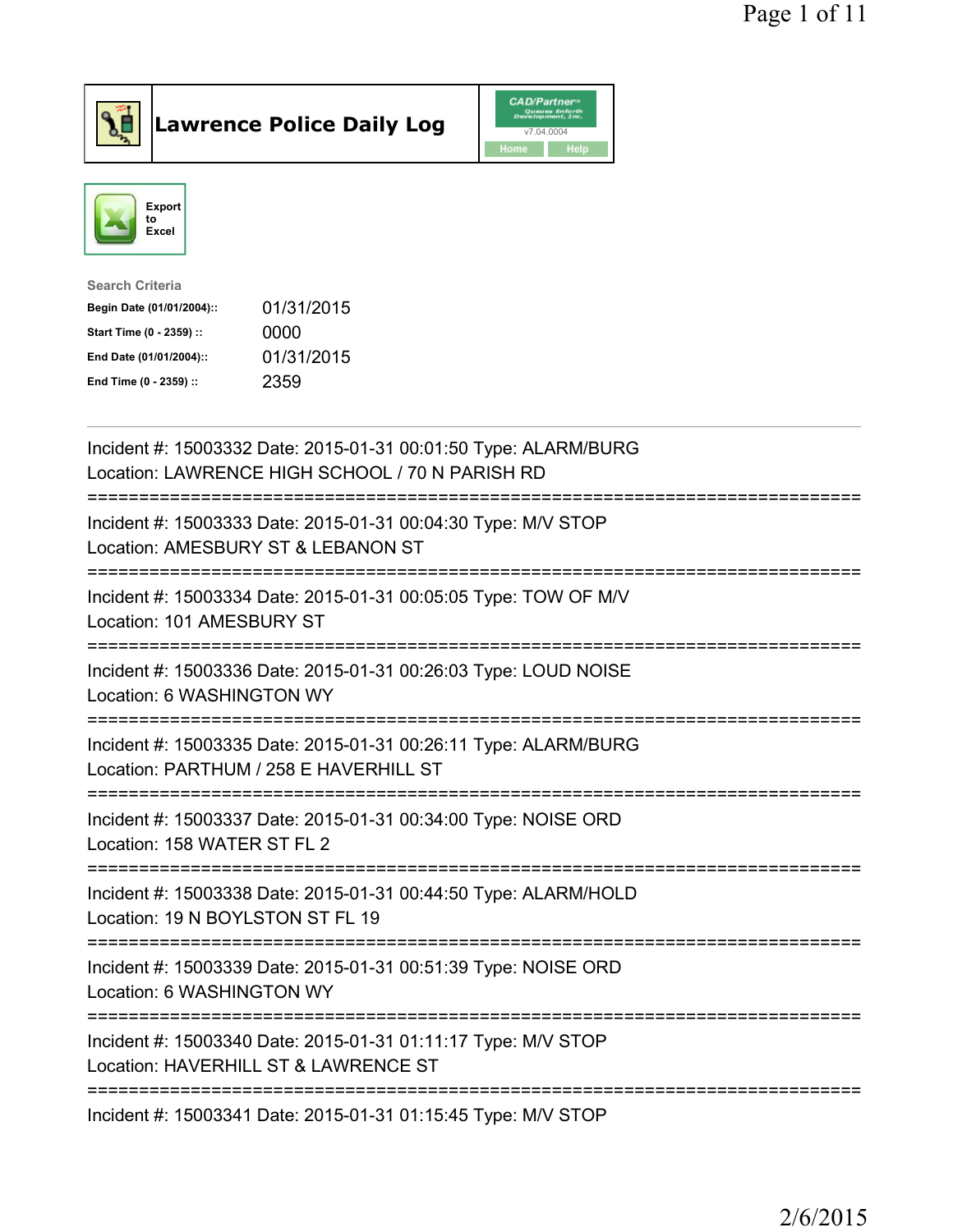



| <b>Search Criteria</b>    |            |
|---------------------------|------------|
| Begin Date (01/01/2004):: | 01/31/2015 |
| Start Time (0 - 2359) ::  | 0000       |
| End Date (01/01/2004)::   | 01/31/2015 |
| End Time (0 - 2359) ::    | 2359       |
|                           |            |

| Incident #: 15003332 Date: 2015-01-31 00:01:50 Type: ALARM/BURG<br>Location: LAWRENCE HIGH SCHOOL / 70 N PARISH RD                       |
|------------------------------------------------------------------------------------------------------------------------------------------|
| Incident #: 15003333 Date: 2015-01-31 00:04:30 Type: M/V STOP<br>Location: AMESBURY ST & LEBANON ST                                      |
| Incident #: 15003334 Date: 2015-01-31 00:05:05 Type: TOW OF M/V<br>Location: 101 AMESBURY ST                                             |
| Incident #: 15003336 Date: 2015-01-31 00:26:03 Type: LOUD NOISE<br>Location: 6 WASHINGTON WY                                             |
| Incident #: 15003335 Date: 2015-01-31 00:26:11 Type: ALARM/BURG<br>Location: PARTHUM / 258 E HAVERHILL ST<br>=========================== |
| Incident #: 15003337 Date: 2015-01-31 00:34:00 Type: NOISE ORD<br>Location: 158 WATER ST FL 2                                            |
| Incident #: 15003338 Date: 2015-01-31 00:44:50 Type: ALARM/HOLD<br>Location: 19 N BOYLSTON ST FL 19<br>:===========================      |
| Incident #: 15003339 Date: 2015-01-31 00:51:39 Type: NOISE ORD<br>Location: 6 WASHINGTON WY                                              |
| Incident #: 15003340 Date: 2015-01-31 01:11:17 Type: M/V STOP<br>Location: HAVERHILL ST & LAWRENCE ST<br>------------------------------  |
| Incident #: 15003341 Date: 2015-01-31 01:15:45 Type: M/V STOP                                                                            |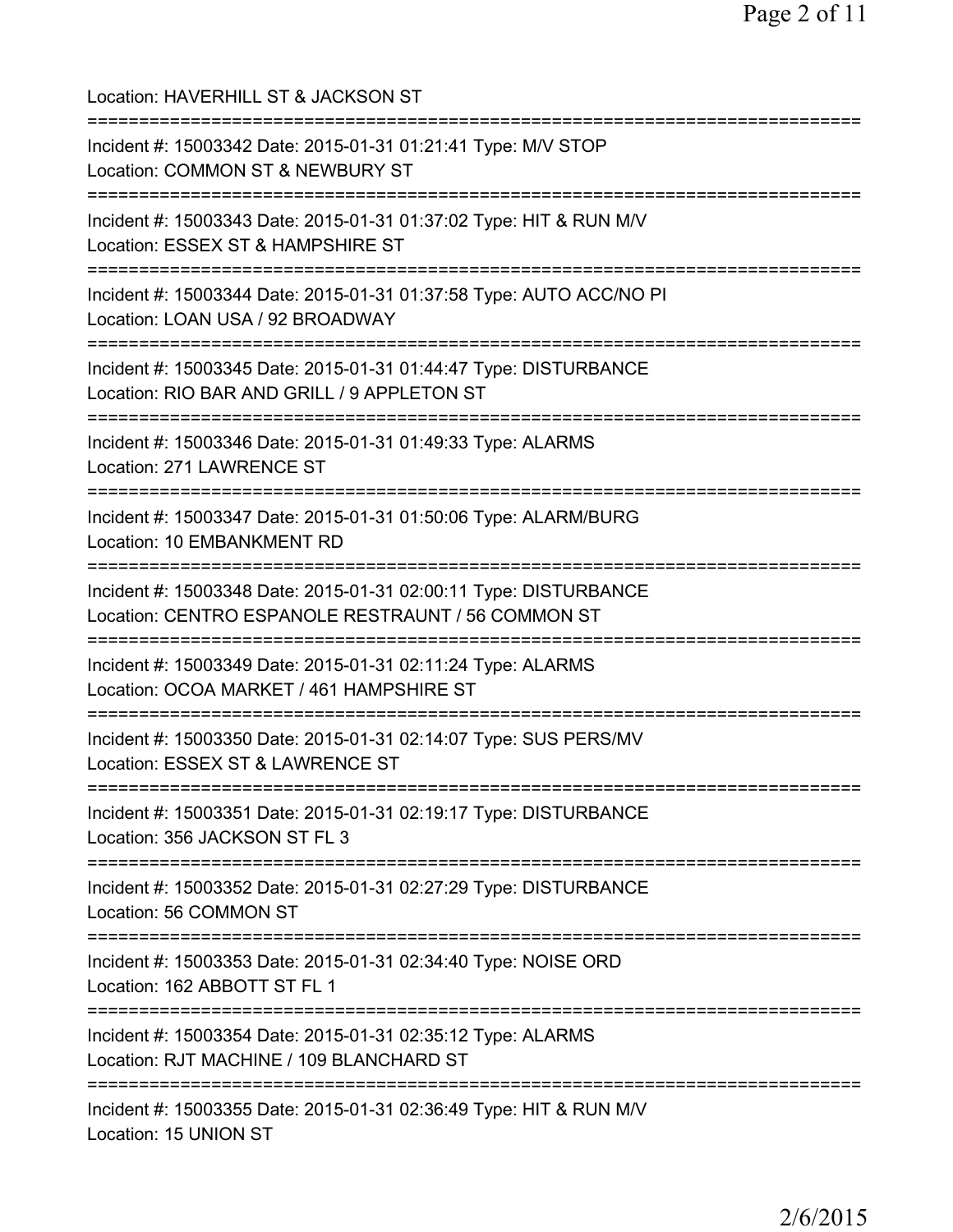| Location: HAVERHILL ST & JACKSON ST                                                                                                   |
|---------------------------------------------------------------------------------------------------------------------------------------|
| Incident #: 15003342 Date: 2015-01-31 01:21:41 Type: M/V STOP<br>Location: COMMON ST & NEWBURY ST                                     |
| Incident #: 15003343 Date: 2015-01-31 01:37:02 Type: HIT & RUN M/V<br>Location: ESSEX ST & HAMPSHIRE ST                               |
| Incident #: 15003344 Date: 2015-01-31 01:37:58 Type: AUTO ACC/NO PI<br>Location: LOAN USA / 92 BROADWAY<br>;========================= |
| Incident #: 15003345 Date: 2015-01-31 01:44:47 Type: DISTURBANCE<br>Location: RIO BAR AND GRILL / 9 APPLETON ST                       |
| Incident #: 15003346 Date: 2015-01-31 01:49:33 Type: ALARMS<br>Location: 271 LAWRENCE ST                                              |
| ==================================<br>Incident #: 15003347 Date: 2015-01-31 01:50:06 Type: ALARM/BURG<br>Location: 10 EMBANKMENT RD   |
| Incident #: 15003348 Date: 2015-01-31 02:00:11 Type: DISTURBANCE<br>Location: CENTRO ESPANOLE RESTRAUNT / 56 COMMON ST                |
| Incident #: 15003349 Date: 2015-01-31 02:11:24 Type: ALARMS<br>Location: OCOA MARKET / 461 HAMPSHIRE ST<br>-----------------------    |
| Incident #: 15003350 Date: 2015-01-31 02:14:07 Type: SUS PERS/MV<br>Location: ESSEX ST & LAWRENCE ST                                  |
| Incident #: 15003351 Date: 2015-01-31 02:19:17 Type: DISTURBANCE<br>Location: 356 JACKSON ST FL 3                                     |
| Incident #: 15003352 Date: 2015-01-31 02:27:29 Type: DISTURBANCE<br>Location: 56 COMMON ST                                            |
| Incident #: 15003353 Date: 2015-01-31 02:34:40 Type: NOISE ORD<br>Location: 162 ABBOTT ST FL 1                                        |
| Incident #: 15003354 Date: 2015-01-31 02:35:12 Type: ALARMS<br>Location: RJT MACHINE / 109 BLANCHARD ST                               |
| Incident #: 15003355 Date: 2015-01-31 02:36:49 Type: HIT & RUN M/V<br>Location: 15 UNION ST                                           |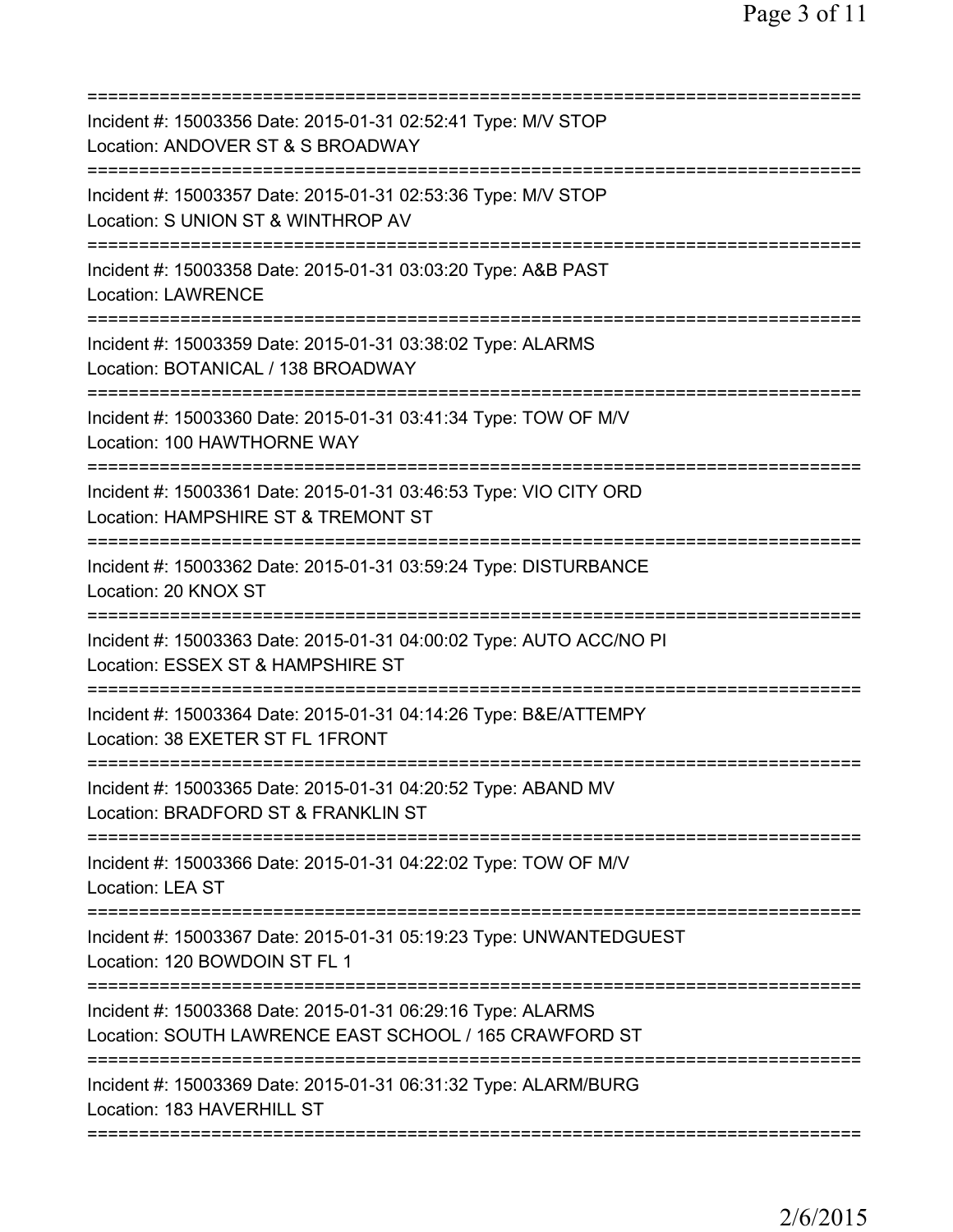| Incident #: 15003356 Date: 2015-01-31 02:52:41 Type: M/V STOP<br>Location: ANDOVER ST & S BROADWAY                                                                                |
|-----------------------------------------------------------------------------------------------------------------------------------------------------------------------------------|
| Incident #: 15003357 Date: 2015-01-31 02:53:36 Type: M/V STOP<br>Location: S UNION ST & WINTHROP AV                                                                               |
| Incident #: 15003358 Date: 2015-01-31 03:03:20 Type: A&B PAST<br><b>Location: LAWRENCE</b>                                                                                        |
| Incident #: 15003359 Date: 2015-01-31 03:38:02 Type: ALARMS<br>Location: BOTANICAL / 138 BROADWAY                                                                                 |
| Incident #: 15003360 Date: 2015-01-31 03:41:34 Type: TOW OF M/V<br>Location: 100 HAWTHORNE WAY                                                                                    |
| ========================<br>----------<br>Incident #: 15003361 Date: 2015-01-31 03:46:53 Type: VIO CITY ORD<br>Location: HAMPSHIRE ST & TREMONT ST<br>=========================== |
| Incident #: 15003362 Date: 2015-01-31 03:59:24 Type: DISTURBANCE<br>Location: 20 KNOX ST                                                                                          |
| Incident #: 15003363 Date: 2015-01-31 04:00:02 Type: AUTO ACC/NO PI<br>Location: ESSEX ST & HAMPSHIRE ST                                                                          |
| Incident #: 15003364 Date: 2015-01-31 04:14:26 Type: B&E/ATTEMPY<br>Location: 38 EXETER ST FL 1FRONT                                                                              |
| Incident #: 15003365 Date: 2015-01-31 04:20:52 Type: ABAND MV<br>Location: BRADFORD ST & FRANKLIN ST                                                                              |
| Incident #: 15003366 Date: 2015-01-31 04:22:02 Type: TOW OF M/V<br>Location: LEA ST                                                                                               |
| Incident #: 15003367 Date: 2015-01-31 05:19:23 Type: UNWANTEDGUEST<br>Location: 120 BOWDOIN ST FL 1                                                                               |
| Incident #: 15003368 Date: 2015-01-31 06:29:16 Type: ALARMS<br>Location: SOUTH LAWRENCE EAST SCHOOL / 165 CRAWFORD ST                                                             |
| Incident #: 15003369 Date: 2015-01-31 06:31:32 Type: ALARM/BURG<br>Location: 183 HAVERHILL ST                                                                                     |
|                                                                                                                                                                                   |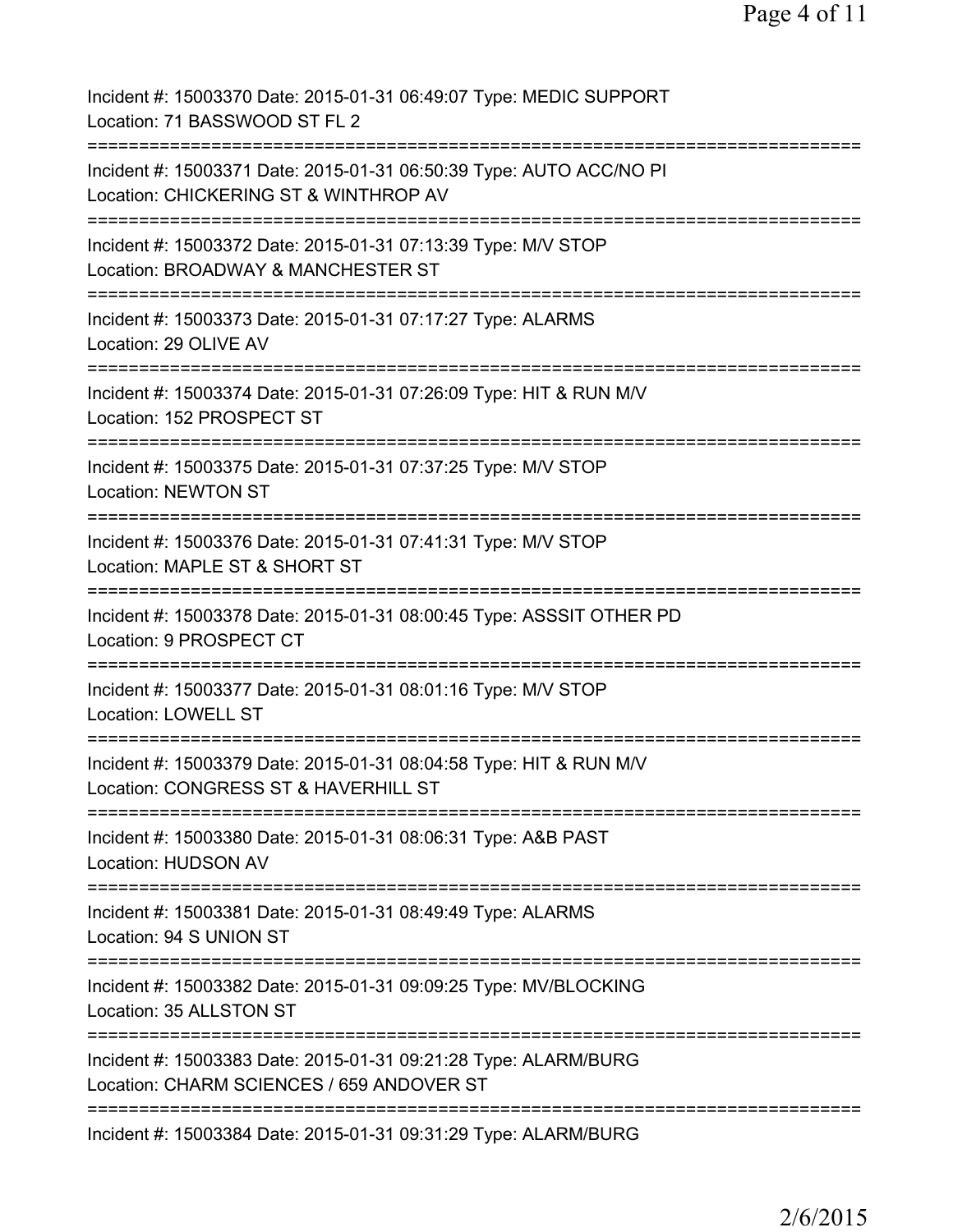| Incident #: 15003370 Date: 2015-01-31 06:49:07 Type: MEDIC SUPPORT<br>Location: 71 BASSWOOD ST FL 2                            |
|--------------------------------------------------------------------------------------------------------------------------------|
| Incident #: 15003371 Date: 2015-01-31 06:50:39 Type: AUTO ACC/NO PI<br>Location: CHICKERING ST & WINTHROP AV                   |
| Incident #: 15003372 Date: 2015-01-31 07:13:39 Type: M/V STOP<br>Location: BROADWAY & MANCHESTER ST                            |
| Incident #: 15003373 Date: 2015-01-31 07:17:27 Type: ALARMS<br>Location: 29 OLIVE AV                                           |
| Incident #: 15003374 Date: 2015-01-31 07:26:09 Type: HIT & RUN M/V<br>Location: 152 PROSPECT ST                                |
| Incident #: 15003375 Date: 2015-01-31 07:37:25 Type: M/V STOP<br><b>Location: NEWTON ST</b>                                    |
| Incident #: 15003376 Date: 2015-01-31 07:41:31 Type: M/V STOP<br>Location: MAPLE ST & SHORT ST<br>:============                |
| Incident #: 15003378 Date: 2015-01-31 08:00:45 Type: ASSSIT OTHER PD<br>Location: 9 PROSPECT CT                                |
| Incident #: 15003377 Date: 2015-01-31 08:01:16 Type: M/V STOP<br><b>Location: LOWELL ST</b>                                    |
| ----------------<br>Incident #: 15003379 Date: 2015-01-31 08:04:58 Type: HIT & RUN M/V<br>Location: CONGRESS ST & HAVERHILL ST |
| Incident #: 15003380 Date: 2015-01-31 08:06:31 Type: A&B PAST<br><b>Location: HUDSON AV</b>                                    |
| Incident #: 15003381 Date: 2015-01-31 08:49:49 Type: ALARMS<br>Location: 94 S UNION ST                                         |
| Incident #: 15003382 Date: 2015-01-31 09:09:25 Type: MV/BLOCKING<br>Location: 35 ALLSTON ST                                    |
| Incident #: 15003383 Date: 2015-01-31 09:21:28 Type: ALARM/BURG<br>Location: CHARM SCIENCES / 659 ANDOVER ST                   |
| Incident #: 15003384 Date: 2015-01-31 09:31:29 Type: ALARM/BURG                                                                |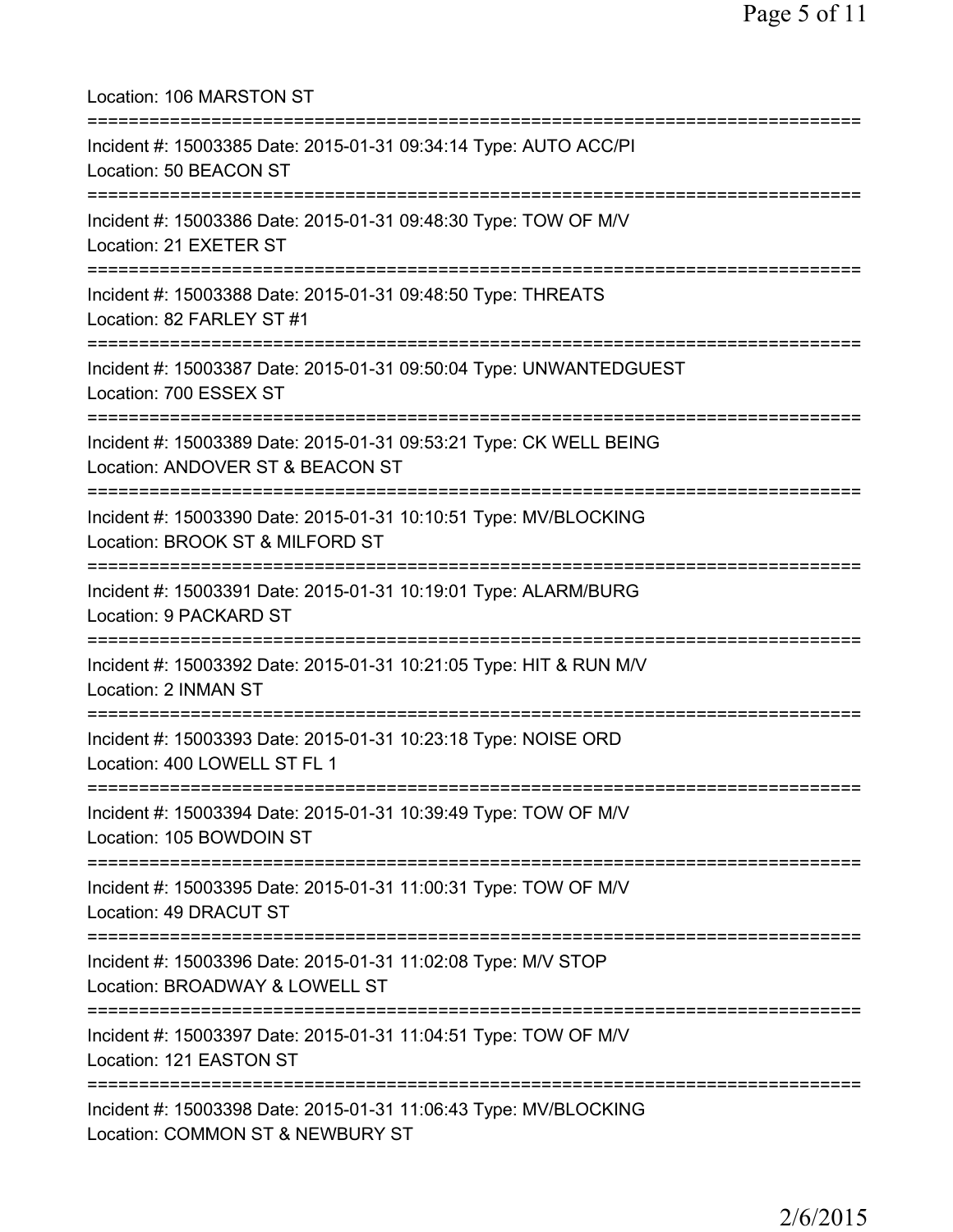Location: 106 MARSTON ST =========================================================================== Incident #: 15003385 Date: 2015-01-31 09:34:14 Type: AUTO ACC/PI Location: 50 BEACON ST =========================================================================== Incident #: 15003386 Date: 2015-01-31 09:48:30 Type: TOW OF M/V Location: 21 EXETER ST =========================================================================== Incident #: 15003388 Date: 2015-01-31 09:48:50 Type: THREATS Location: 82 FARLEY ST #1 =========================================================================== Incident #: 15003387 Date: 2015-01-31 09:50:04 Type: UNWANTEDGUEST Location: 700 ESSEX ST =========================================================================== Incident #: 15003389 Date: 2015-01-31 09:53:21 Type: CK WELL BEING Location: ANDOVER ST & BEACON ST =========================================================================== Incident #: 15003390 Date: 2015-01-31 10:10:51 Type: MV/BLOCKING Location: BROOK ST & MILFORD ST =========================================================================== Incident #: 15003391 Date: 2015-01-31 10:19:01 Type: ALARM/BURG Location: 9 PACKARD ST =========================================================================== Incident #: 15003392 Date: 2015-01-31 10:21:05 Type: HIT & RUN M/V Location: 2 INMAN ST =========================================================================== Incident #: 15003393 Date: 2015-01-31 10:23:18 Type: NOISE ORD Location: 400 LOWELL ST FL 1 =========================================================================== Incident #: 15003394 Date: 2015-01-31 10:39:49 Type: TOW OF M/V Location: 105 BOWDOIN ST =========================================================================== Incident #: 15003395 Date: 2015-01-31 11:00:31 Type: TOW OF M/V Location: 49 DRACUT ST =========================================================================== Incident #: 15003396 Date: 2015-01-31 11:02:08 Type: M/V STOP Location: BROADWAY & LOWELL ST =========================================================================== Incident #: 15003397 Date: 2015-01-31 11:04:51 Type: TOW OF M/V Location: 121 EASTON ST =========================================================================== Incident #: 15003398 Date: 2015-01-31 11:06:43 Type: MV/BLOCKING Location: COMMON ST & NEWBURY ST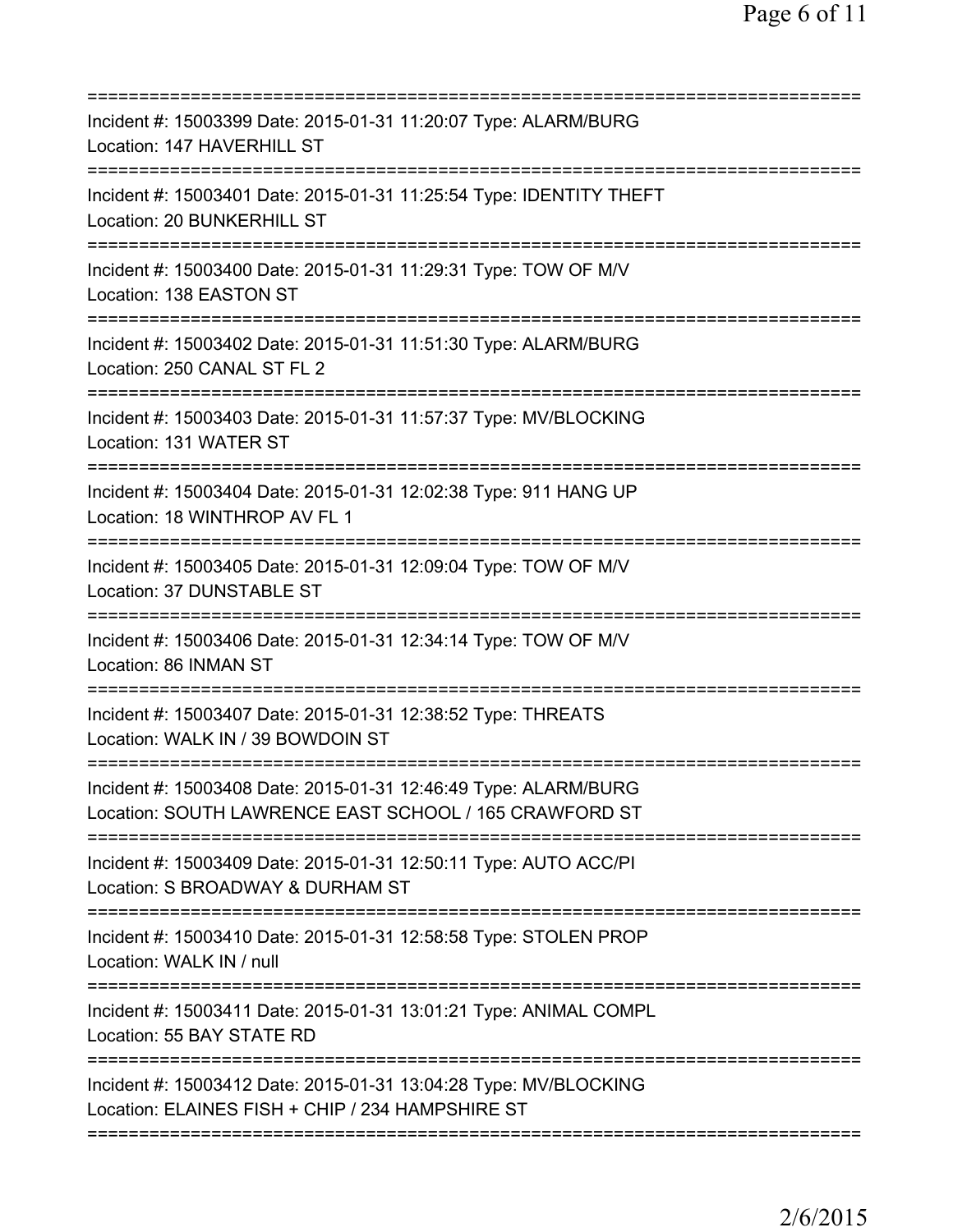| =====================================                                                                                     |
|---------------------------------------------------------------------------------------------------------------------------|
| Incident #: 15003399 Date: 2015-01-31 11:20:07 Type: ALARM/BURG<br>Location: 147 HAVERHILL ST                             |
| Incident #: 15003401 Date: 2015-01-31 11:25:54 Type: IDENTITY THEFT<br>Location: 20 BUNKERHILL ST                         |
| Incident #: 15003400 Date: 2015-01-31 11:29:31 Type: TOW OF M/V<br>Location: 138 EASTON ST                                |
| Incident #: 15003402 Date: 2015-01-31 11:51:30 Type: ALARM/BURG<br>Location: 250 CANAL ST FL 2                            |
| Incident #: 15003403 Date: 2015-01-31 11:57:37 Type: MV/BLOCKING<br>Location: 131 WATER ST                                |
| Incident #: 15003404 Date: 2015-01-31 12:02:38 Type: 911 HANG UP<br>Location: 18 WINTHROP AV FL 1<br>:===========:        |
| Incident #: 15003405 Date: 2015-01-31 12:09:04 Type: TOW OF M/V<br>Location: 37 DUNSTABLE ST                              |
| Incident #: 15003406 Date: 2015-01-31 12:34:14 Type: TOW OF M/V<br>Location: 86 INMAN ST                                  |
| Incident #: 15003407 Date: 2015-01-31 12:38:52 Type: THREATS<br>Location: WALK IN / 39 BOWDOIN ST                         |
| Incident #: 15003408 Date: 2015-01-31 12:46:49 Type: ALARM/BURG<br>Location: SOUTH LAWRENCE EAST SCHOOL / 165 CRAWFORD ST |
| Incident #: 15003409 Date: 2015-01-31 12:50:11 Type: AUTO ACC/PI<br>Location: S BROADWAY & DURHAM ST                      |
| Incident #: 15003410 Date: 2015-01-31 12:58:58 Type: STOLEN PROP<br>Location: WALK IN / null                              |
| Incident #: 15003411 Date: 2015-01-31 13:01:21 Type: ANIMAL COMPL<br>Location: 55 BAY STATE RD                            |
| Incident #: 15003412 Date: 2015-01-31 13:04:28 Type: MV/BLOCKING<br>Location: ELAINES FISH + CHIP / 234 HAMPSHIRE ST      |
|                                                                                                                           |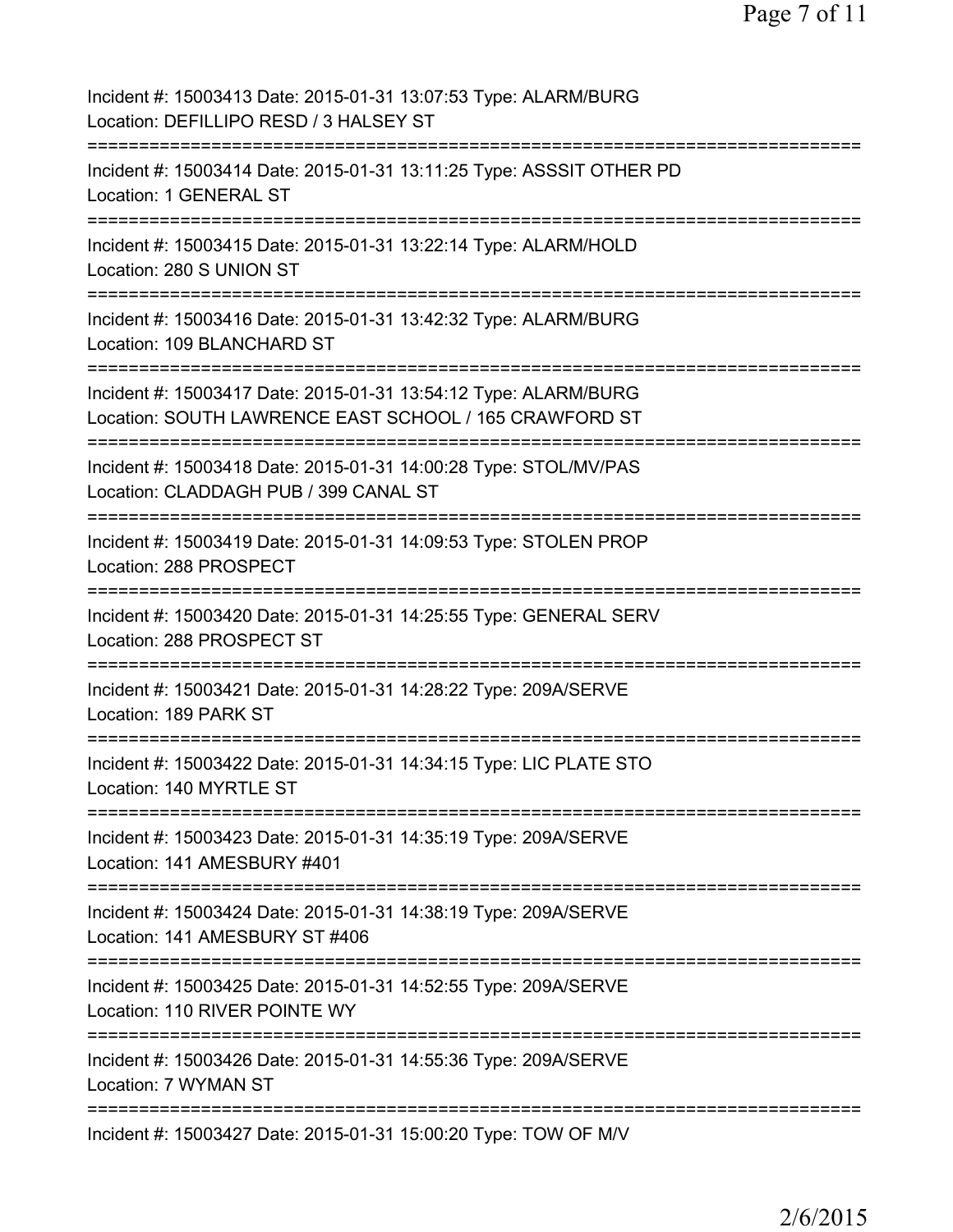Page 7 of 11

| Incident #: 15003413 Date: 2015-01-31 13:07:53 Type: ALARM/BURG<br>Location: DEFILLIPO RESD / 3 HALSEY ST                             |
|---------------------------------------------------------------------------------------------------------------------------------------|
| Incident #: 15003414 Date: 2015-01-31 13:11:25 Type: ASSSIT OTHER PD<br>Location: 1 GENERAL ST                                        |
| Incident #: 15003415 Date: 2015-01-31 13:22:14 Type: ALARM/HOLD<br>Location: 280 S UNION ST                                           |
| Incident #: 15003416 Date: 2015-01-31 13:42:32 Type: ALARM/BURG<br>Location: 109 BLANCHARD ST                                         |
| Incident #: 15003417 Date: 2015-01-31 13:54:12 Type: ALARM/BURG<br>Location: SOUTH LAWRENCE EAST SCHOOL / 165 CRAWFORD ST             |
| Incident #: 15003418 Date: 2015-01-31 14:00:28 Type: STOL/MV/PAS<br>Location: CLADDAGH PUB / 399 CANAL ST<br>======================== |
| Incident #: 15003419 Date: 2015-01-31 14:09:53 Type: STOLEN PROP<br>Location: 288 PROSPECT<br>==================================      |
| Incident #: 15003420 Date: 2015-01-31 14:25:55 Type: GENERAL SERV<br>Location: 288 PROSPECT ST                                        |
| Incident #: 15003421 Date: 2015-01-31 14:28:22 Type: 209A/SERVE<br>Location: 189 PARK ST                                              |
| Incident #: 15003422 Date: 2015-01-31 14:34:15 Type: LIC PLATE STO<br>Location: 140 MYRTLE ST                                         |
| Incident #: 15003423 Date: 2015-01-31 14:35:19 Type: 209A/SERVE<br>Location: 141 AMESBURY #401                                        |
| Incident #: 15003424 Date: 2015-01-31 14:38:19 Type: 209A/SERVE<br>Location: 141 AMESBURY ST #406<br>==============                   |
| Incident #: 15003425 Date: 2015-01-31 14:52:55 Type: 209A/SERVE<br>Location: 110 RIVER POINTE WY                                      |
| Incident #: 15003426 Date: 2015-01-31 14:55:36 Type: 209A/SERVE<br>Location: 7 WYMAN ST                                               |
| Incident #: 15003427 Date: 2015-01-31 15:00:20 Type: TOW OF M/V                                                                       |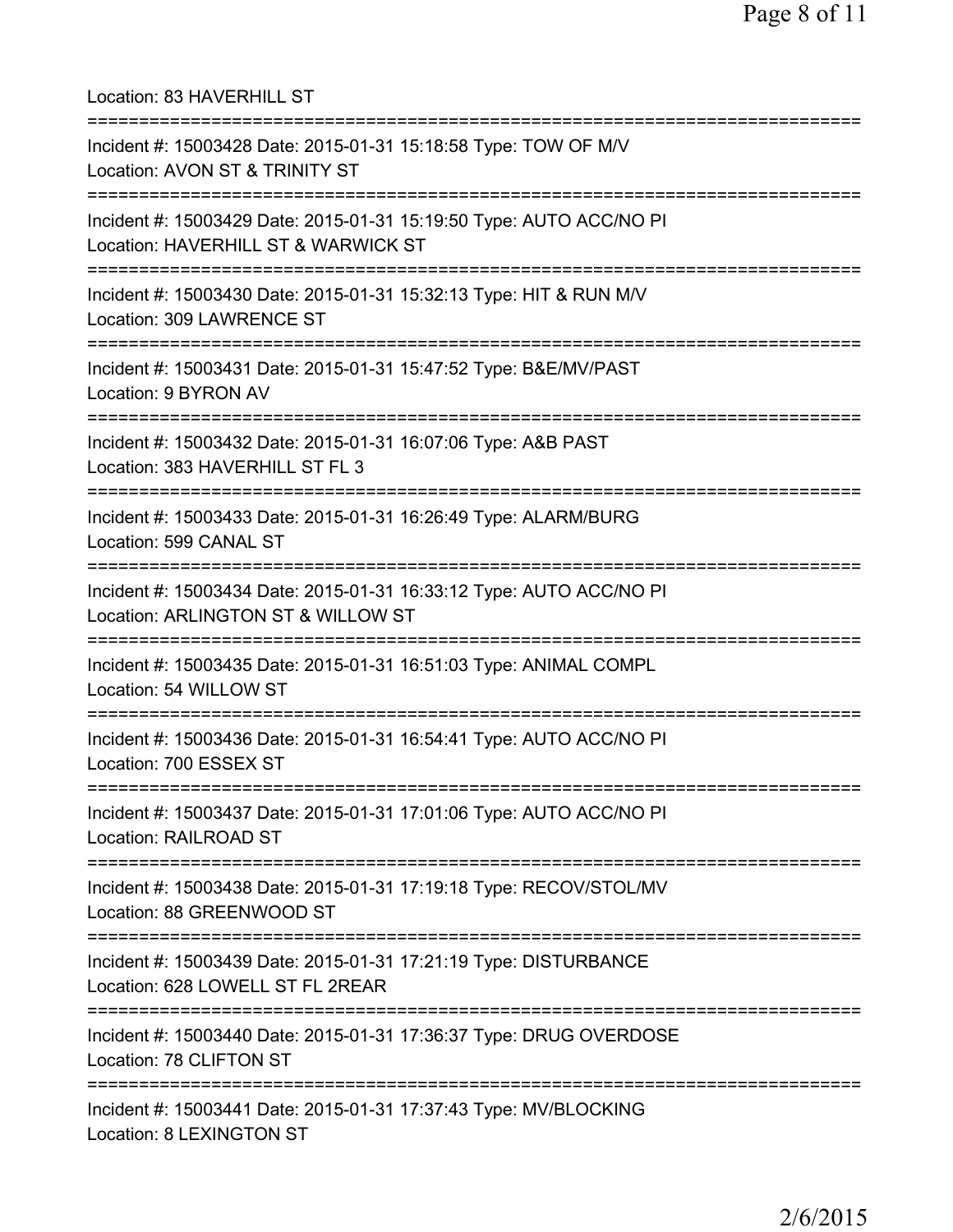| Location: 83 HAVERHILL ST<br>=====================================                                                                          |
|---------------------------------------------------------------------------------------------------------------------------------------------|
| Incident #: 15003428 Date: 2015-01-31 15:18:58 Type: TOW OF M/V<br>Location: AVON ST & TRINITY ST<br>====================================== |
| Incident #: 15003429 Date: 2015-01-31 15:19:50 Type: AUTO ACC/NO PI<br>Location: HAVERHILL ST & WARWICK ST                                  |
| Incident #: 15003430 Date: 2015-01-31 15:32:13 Type: HIT & RUN M/V<br>Location: 309 LAWRENCE ST                                             |
| ====================<br>Incident #: 15003431 Date: 2015-01-31 15:47:52 Type: B&E/MV/PAST<br>Location: 9 BYRON AV                            |
| Incident #: 15003432 Date: 2015-01-31 16:07:06 Type: A&B PAST<br>Location: 383 HAVERHILL ST FL 3                                            |
| Incident #: 15003433 Date: 2015-01-31 16:26:49 Type: ALARM/BURG<br>Location: 599 CANAL ST                                                   |
| Incident #: 15003434 Date: 2015-01-31 16:33:12 Type: AUTO ACC/NO PI<br>Location: ARLINGTON ST & WILLOW ST                                   |
| Incident #: 15003435 Date: 2015-01-31 16:51:03 Type: ANIMAL COMPL<br>Location: 54 WILLOW ST                                                 |
| ==============================<br>Incident #: 15003436 Date: 2015-01-31 16:54:41 Type: AUTO ACC/NO PI<br>Location: 700 ESSEX ST             |
| ================<br>Incident #: 15003437 Date: 2015-01-31 17:01:06 Type: AUTO ACC/NO PI<br><b>Location: RAILROAD ST</b>                     |
| Incident #: 15003438 Date: 2015-01-31 17:19:18 Type: RECOV/STOL/MV<br>Location: 88 GREENWOOD ST                                             |
| Incident #: 15003439 Date: 2015-01-31 17:21:19 Type: DISTURBANCE<br>Location: 628 LOWELL ST FL 2REAR                                        |
| Incident #: 15003440 Date: 2015-01-31 17:36:37 Type: DRUG OVERDOSE<br>Location: 78 CLIFTON ST                                               |
| Incident #: 15003441 Date: 2015-01-31 17:37:43 Type: MV/BLOCKING<br>Location: 8 LEXINGTON ST                                                |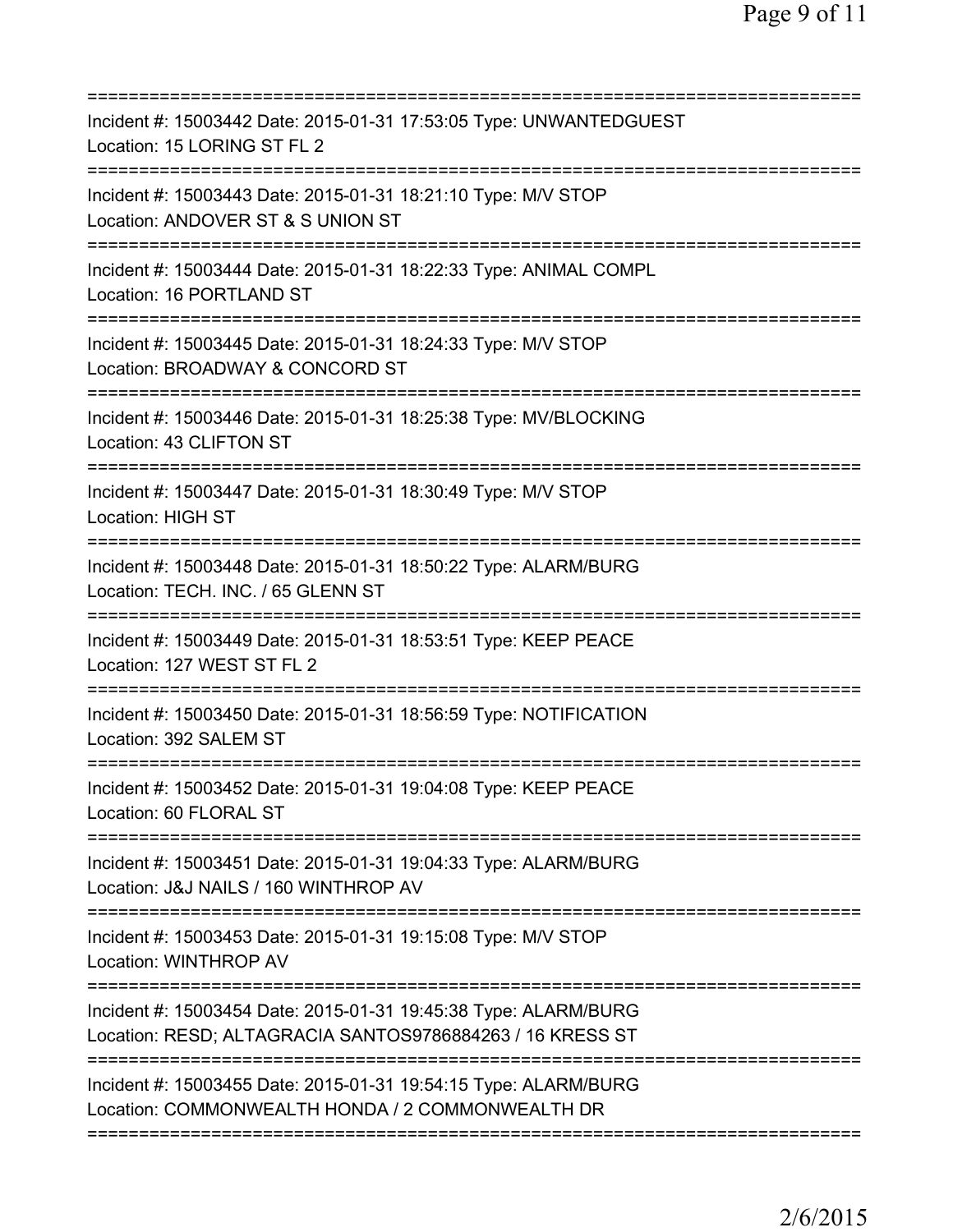| Incident #: 15003442 Date: 2015-01-31 17:53:05 Type: UNWANTEDGUEST<br>Location: 15 LORING ST FL 2                                                                |
|------------------------------------------------------------------------------------------------------------------------------------------------------------------|
| Incident #: 15003443 Date: 2015-01-31 18:21:10 Type: M/V STOP<br>Location: ANDOVER ST & S UNION ST                                                               |
| Incident #: 15003444 Date: 2015-01-31 18:22:33 Type: ANIMAL COMPL<br>Location: 16 PORTLAND ST                                                                    |
| Incident #: 15003445 Date: 2015-01-31 18:24:33 Type: M/V STOP<br>Location: BROADWAY & CONCORD ST                                                                 |
| Incident #: 15003446 Date: 2015-01-31 18:25:38 Type: MV/BLOCKING<br>Location: 43 CLIFTON ST                                                                      |
| ====================================<br>Incident #: 15003447 Date: 2015-01-31 18:30:49 Type: M/V STOP<br><b>Location: HIGH ST</b><br>=========================== |
| Incident #: 15003448 Date: 2015-01-31 18:50:22 Type: ALARM/BURG<br>Location: TECH. INC. / 65 GLENN ST<br>===========                                             |
| Incident #: 15003449 Date: 2015-01-31 18:53:51 Type: KEEP PEACE<br>Location: 127 WEST ST FL 2                                                                    |
| Incident #: 15003450 Date: 2015-01-31 18:56:59 Type: NOTIFICATION<br>Location: 392 SALEM ST                                                                      |
| Incident #: 15003452 Date: 2015-01-31 19:04:08 Type: KEEP PEACE<br>Location: 60 FLORAL ST                                                                        |
| Incident #: 15003451 Date: 2015-01-31 19:04:33 Type: ALARM/BURG<br>Location: J&J NAILS / 160 WINTHROP AV                                                         |
| Incident #: 15003453 Date: 2015-01-31 19:15:08 Type: M/V STOP<br>Location: WINTHROP AV                                                                           |
| Incident #: 15003454 Date: 2015-01-31 19:45:38 Type: ALARM/BURG<br>Location: RESD; ALTAGRACIA SANTOS9786884263 / 16 KRESS ST                                     |
| Incident #: 15003455 Date: 2015-01-31 19:54:15 Type: ALARM/BURG<br>Location: COMMONWEALTH HONDA / 2 COMMONWEALTH DR                                              |
|                                                                                                                                                                  |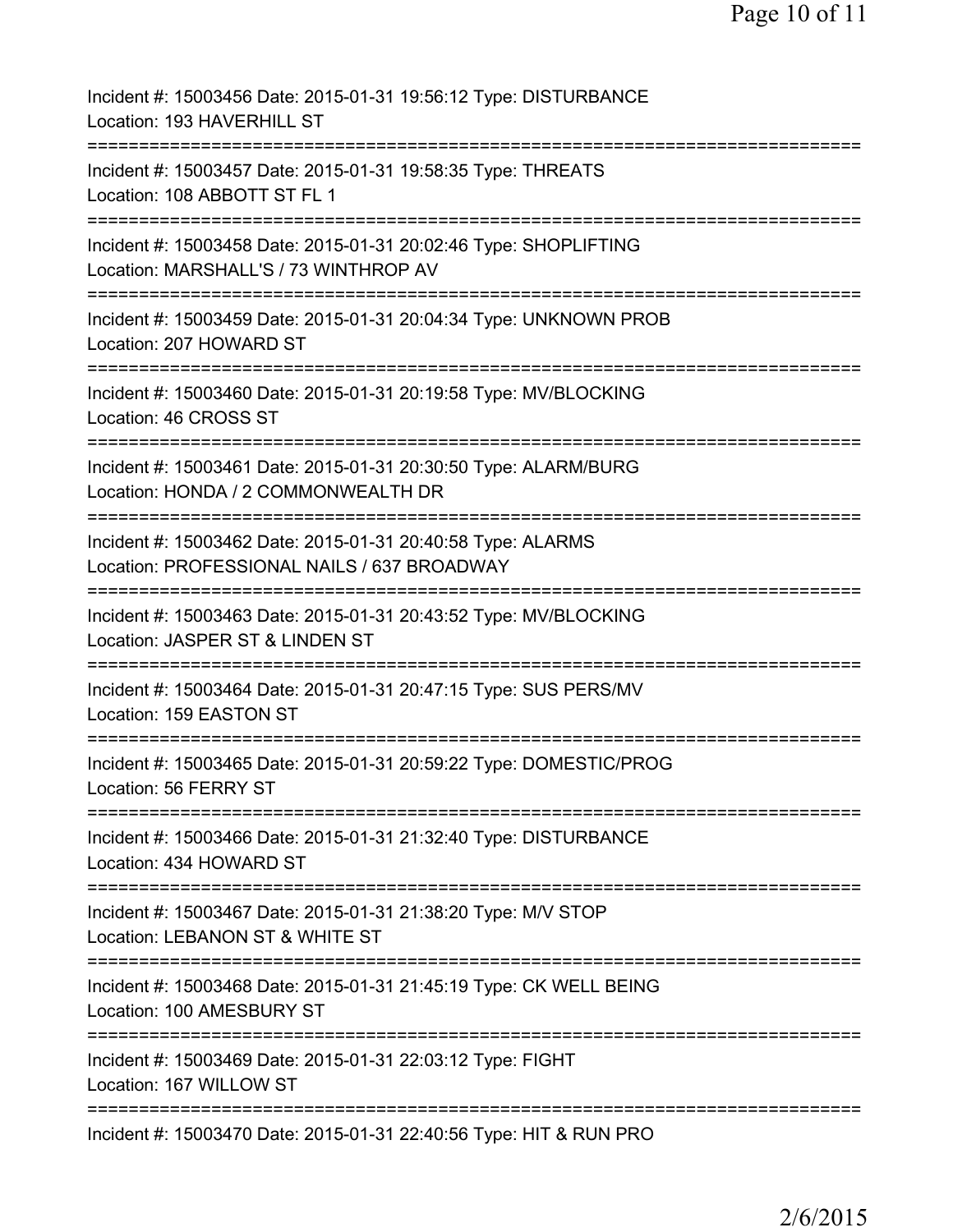| Incident #: 15003456 Date: 2015-01-31 19:56:12 Type: DISTURBANCE<br>Location: 193 HAVERHILL ST                                              |
|---------------------------------------------------------------------------------------------------------------------------------------------|
| Incident #: 15003457 Date: 2015-01-31 19:58:35 Type: THREATS<br>Location: 108 ABBOTT ST FL 1                                                |
| Incident #: 15003458 Date: 2015-01-31 20:02:46 Type: SHOPLIFTING<br>Location: MARSHALL'S / 73 WINTHROP AV                                   |
| Incident #: 15003459 Date: 2015-01-31 20:04:34 Type: UNKNOWN PROB<br>Location: 207 HOWARD ST                                                |
| Incident #: 15003460 Date: 2015-01-31 20:19:58 Type: MV/BLOCKING<br>Location: 46 CROSS ST                                                   |
| Incident #: 15003461 Date: 2015-01-31 20:30:50 Type: ALARM/BURG<br>Location: HONDA / 2 COMMONWEALTH DR<br>================================= |
| Incident #: 15003462 Date: 2015-01-31 20:40:58 Type: ALARMS<br>Location: PROFESSIONAL NAILS / 637 BROADWAY                                  |
| ==================================<br>Incident #: 15003463 Date: 2015-01-31 20:43:52 Type: MV/BLOCKING<br>Location: JASPER ST & LINDEN ST   |
| Incident #: 15003464 Date: 2015-01-31 20:47:15 Type: SUS PERS/MV<br>Location: 159 EASTON ST                                                 |
| Incident #: 15003465 Date: 2015-01-31 20:59:22 Type: DOMESTIC/PROG<br>Location: 56 FERRY ST                                                 |
| Incident #: 15003466 Date: 2015-01-31 21:32:40 Type: DISTURBANCE<br>Location: 434 HOWARD ST                                                 |
| Incident #: 15003467 Date: 2015-01-31 21:38:20 Type: M/V STOP<br>Location: LEBANON ST & WHITE ST                                            |
| :=========================<br>Incident #: 15003468 Date: 2015-01-31 21:45:19 Type: CK WELL BEING<br>Location: 100 AMESBURY ST               |
| Incident #: 15003469 Date: 2015-01-31 22:03:12 Type: FIGHT<br>Location: 167 WILLOW ST                                                       |
| Incident #: 15003470 Date: 2015-01-31 22:40:56 Type: HIT & RUN PRO                                                                          |